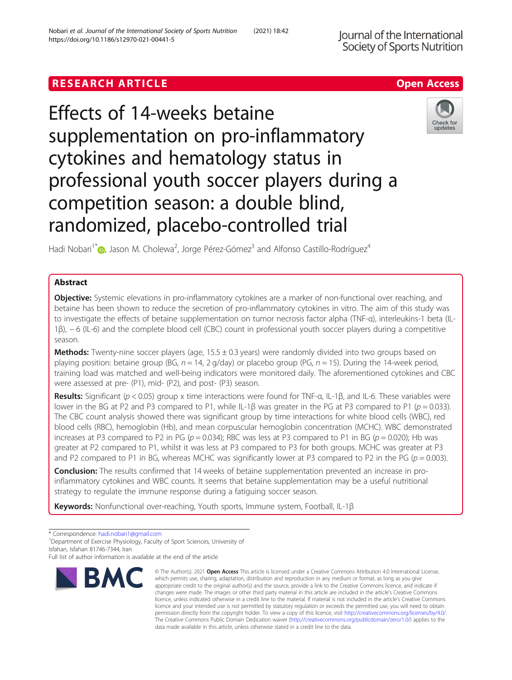# **RESEARCH ARTICLE Example 2018 12:30 The Contract of Contract ACCESS**



# Effects of 14-weeks betaine supplementation on pro-inflammatory cytokines and hematology status in professional youth soccer players during a competition season: a double blind, randomized, placebo-controlled trial



Hadi Nobari<sup>1[\\*](http://orcid.org/0000-0001-7951-8977)</sup> (@, Jason M. Cholewa<sup>2</sup>, Jorge Pérez-Gómez<sup>3</sup> and Alfonso Castillo-Rodríguez<sup>4</sup>

# Abstract

Objective: Systemic elevations in pro-inflammatory cytokines are a marker of non-functional over reaching, and betaine has been shown to reduce the secretion of pro-inflammatory cytokines in vitro. The aim of this study was to investigate the effects of betaine supplementation on tumor necrosis factor alpha (TNF-α), interleukins-1 beta (IL-1β), − 6 (IL-6) and the complete blood cell (CBC) count in professional youth soccer players during a competitive season.

**Methods:** Twenty-nine soccer players (age,  $15.5 \pm 0.3$  years) were randomly divided into two groups based on playing position: betaine group (BG,  $n = 14$ , 2 g/day) or placebo group (PG,  $n = 15$ ). During the 14-week period, training load was matched and well-being indicators were monitored daily. The aforementioned cytokines and CBC were assessed at pre- (P1), mid- (P2), and post- (P3) season.

**Results:** Significant ( $p < 0.05$ ) group x time interactions were found for TNF- $\alpha$ , IL-1 $\beta$ , and IL-6. These variables were lower in the BG at P2 and P3 compared to P1, while IL-1 $\beta$  was greater in the PG at P3 compared to P1 ( $p = 0.033$ ). The CBC count analysis showed there was significant group by time interactions for white blood cells (WBC), red blood cells (RBC), hemoglobin (Hb), and mean corpuscular hemoglobin concentration (MCHC). WBC demonstrated increases at P3 compared to P2 in PG ( $p = 0.034$ ); RBC was less at P3 compared to P1 in BG ( $p = 0.020$ ); Hb was greater at P2 compared to P1, whilst it was less at P3 compared to P3 for both groups. MCHC was greater at P3 and P2 compared to P1 in BG, whereas MCHC was significantly lower at P3 compared to P2 in the PG ( $p = 0.003$ ).

**Conclusion:** The results confirmed that 14 weeks of betaine supplementation prevented an increase in proinflammatory cytokines and WBC counts. It seems that betaine supplementation may be a useful nutritional strategy to regulate the immune response during a fatiguing soccer season.

Keywords: Nonfunctional over-reaching, Youth sports, Immune system, Football, IL-1β

\* Correspondence: [hadi.nobari1@gmail.com](mailto:hadi.nobari1@gmail.com) <sup>1</sup>

<sup>1</sup>Department of Exercise Physiology, Faculty of Sport Sciences, University of Isfahan, Isfahan 81746-7344, Iran

Full list of author information is available at the end of the article



<sup>©</sup> The Author(s), 2021 **Open Access** This article is licensed under a Creative Commons Attribution 4.0 International License, which permits use, sharing, adaptation, distribution and reproduction in any medium or format, as long as you give appropriate credit to the original author(s) and the source, provide a link to the Creative Commons licence, and indicate if changes were made. The images or other third party material in this article are included in the article's Creative Commons licence, unless indicated otherwise in a credit line to the material. If material is not included in the article's Creative Commons licence and your intended use is not permitted by statutory regulation or exceeds the permitted use, you will need to obtain permission directly from the copyright holder. To view a copy of this licence, visit [http://creativecommons.org/licenses/by/4.0/.](http://creativecommons.org/licenses/by/4.0/) The Creative Commons Public Domain Dedication waiver [\(http://creativecommons.org/publicdomain/zero/1.0/](http://creativecommons.org/publicdomain/zero/1.0/)) applies to the data made available in this article, unless otherwise stated in a credit line to the data.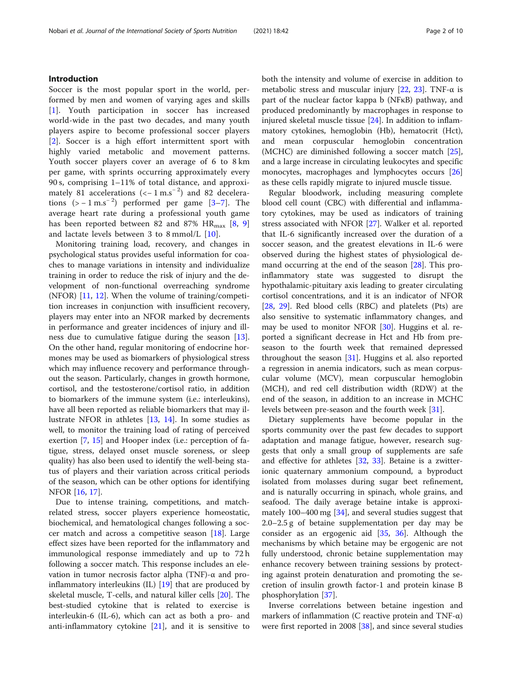# Introduction

Soccer is the most popular sport in the world, performed by men and women of varying ages and skills [[1\]](#page-8-0). Youth participation in soccer has increased world-wide in the past two decades, and many youth players aspire to become professional soccer players [[2\]](#page-8-0). Soccer is a high effort intermittent sport with highly varied metabolic and movement patterns. Youth soccer players cover an average of 6 to 8 km per game, with sprints occurring approximately every 90 s, comprising 1–11% of total distance, and approximately 81 accelerations  $(< -1 \text{ m.s}^{-2})$  and 82 decelerations  $(>-1 \text{ m.s}^{-2})$  performed per game [[3](#page-8-0)–[7\]](#page-8-0). The average heart rate during a professional youth game has been reported between 82 and 87% HR<sub>max</sub> [\[8](#page-8-0), [9](#page-8-0)] and lactate levels between 3 to 8 mmol/L [[10\]](#page-8-0).

Monitoring training load, recovery, and changes in psychological status provides useful information for coaches to manage variations in intensity and individualize training in order to reduce the risk of injury and the development of non-functional overreaching syndrome (NFOR) [[11,](#page-8-0) [12\]](#page-8-0). When the volume of training/competition increases in conjunction with insufficient recovery, players may enter into an NFOR marked by decrements in performance and greater incidences of injury and illness due to cumulative fatigue during the season [\[13](#page-8-0)]. On the other hand, regular monitoring of endocrine hormones may be used as biomarkers of physiological stress which may influence recovery and performance throughout the season. Particularly, changes in growth hormone, cortisol, and the testosterone/cortisol ratio, in addition to biomarkers of the immune system (i.e.: interleukins), have all been reported as reliable biomarkers that may illustrate NFOR in athletes [\[13,](#page-8-0) [14](#page-8-0)]. In some studies as well, to monitor the training load of rating of perceived exertion [[7,](#page-8-0) [15\]](#page-8-0) and Hooper index (i.e.: perception of fatigue, stress, delayed onset muscle soreness, or sleep quality) has also been used to identify the well-being status of players and their variation across critical periods of the season, which can be other options for identifying NFOR [\[16,](#page-8-0) [17\]](#page-8-0).

Due to intense training, competitions, and matchrelated stress, soccer players experience homeostatic, biochemical, and hematological changes following a soccer match and across a competitive season [\[18](#page-8-0)]. Large effect sizes have been reported for the inflammatory and immunological response immediately and up to 72 h following a soccer match. This response includes an elevation in tumor necrosis factor alpha (TNF)-α and proinflammatory interleukins (IL) [[19\]](#page-8-0) that are produced by skeletal muscle, T-cells, and natural killer cells [[20\]](#page-8-0). The best-studied cytokine that is related to exercise is interleukin-6 (IL-6), which can act as both a pro- and anti-inflammatory cytokine  $[21]$  $[21]$ , and it is sensitive to both the intensity and volume of exercise in addition to metabolic stress and muscular injury  $[22, 23]$  $[22, 23]$  $[22, 23]$  $[22, 23]$  $[22, 23]$ . TNF- $\alpha$  is part of the nuclear factor kappa b (NFκB) pathway, and produced predominantly by macrophages in response to injured skeletal muscle tissue [\[24\]](#page-8-0). In addition to inflammatory cytokines, hemoglobin (Hb), hematocrit (Hct), and mean corpuscular hemoglobin concentration (MCHC) are diminished following a soccer match [\[25](#page-8-0)], and a large increase in circulating leukocytes and specific monocytes, macrophages and lymphocytes occurs [[26](#page-8-0)] as these cells rapidly migrate to injured muscle tissue.

Regular bloodwork, including measuring complete blood cell count (CBC) with differential and inflammatory cytokines, may be used as indicators of training stress associated with NFOR [[27\]](#page-8-0). Walker et al. reported that IL-6 significantly increased over the duration of a soccer season, and the greatest elevations in IL-6 were observed during the highest states of physiological demand occurring at the end of the season [[28\]](#page-8-0). This proinflammatory state was suggested to disrupt the hypothalamic-pituitary axis leading to greater circulating cortisol concentrations, and it is an indicator of NFOR [[28,](#page-8-0) [29](#page-8-0)]. Red blood cells (RBC) and platelets (Pts) are also sensitive to systematic inflammatory changes, and may be used to monitor NFOR [[30\]](#page-8-0). Huggins et al. reported a significant decrease in Hct and Hb from preseason to the fourth week that remained depressed throughout the season  $[31]$  $[31]$ . Huggins et al. also reported a regression in anemia indicators, such as mean corpuscular volume (MCV), mean corpuscular hemoglobin (MCH), and red cell distribution width (RDW) at the end of the season, in addition to an increase in MCHC levels between pre-season and the fourth week [\[31\]](#page-9-0).

Dietary supplements have become popular in the sports community over the past few decades to support adaptation and manage fatigue, however, research suggests that only a small group of supplements are safe and effective for athletes [[32,](#page-9-0) [33](#page-9-0)]. Betaine is a zwitterionic quaternary ammonium compound, a byproduct isolated from molasses during sugar beet refinement, and is naturally occurring in spinach, whole grains, and seafood. The daily average betaine intake is approximately 100–400 mg [\[34](#page-9-0)], and several studies suggest that 2.0–2.5 g of betaine supplementation per day may be consider as an ergogenic aid [\[35,](#page-9-0) [36\]](#page-9-0). Although the mechanisms by which betaine may be ergogenic are not fully understood, chronic betaine supplementation may enhance recovery between training sessions by protecting against protein denaturation and promoting the secretion of insulin growth factor-1 and protein kinase B phosphorylation [\[37](#page-9-0)].

Inverse correlations between betaine ingestion and markers of inflammation (C reactive protein and TNF- $\alpha$ ) were first reported in 2008 [\[38](#page-9-0)], and since several studies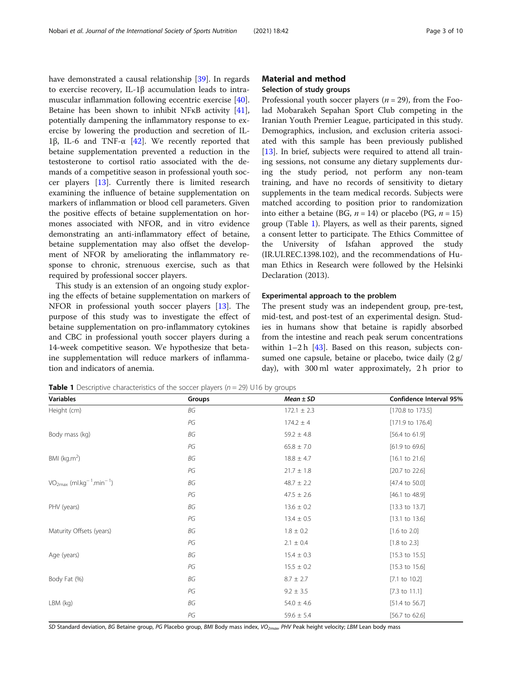have demonstrated a causal relationship [[39\]](#page-9-0). In regards to exercise recovery, IL-1β accumulation leads to intramuscular inflammation following eccentric exercise [\[40](#page-9-0)]. Betaine has been shown to inhibit NFKB activity [\[41](#page-9-0)], potentially dampening the inflammatory response to exercise by lowering the production and secretion of IL-1β, IL-6 and TNF-α [\[42\]](#page-9-0). We recently reported that betaine supplementation prevented a reduction in the testosterone to cortisol ratio associated with the demands of a competitive season in professional youth soccer players [[13\]](#page-8-0). Currently there is limited research examining the influence of betaine supplementation on markers of inflammation or blood cell parameters. Given the positive effects of betaine supplementation on hormones associated with NFOR, and in vitro evidence demonstrating an anti-inflammatory effect of betaine, betaine supplementation may also offset the development of NFOR by ameliorating the inflammatory response to chronic, strenuous exercise, such as that required by professional soccer players.

This study is an extension of an ongoing study exploring the effects of betaine supplementation on markers of NFOR in professional youth soccer players [[13](#page-8-0)]. The purpose of this study was to investigate the effect of betaine supplementation on pro-inflammatory cytokines and CBC in professional youth soccer players during a 14-week competitive season. We hypothesize that betaine supplementation will reduce markers of inflammation and indicators of anemia.

# Material and method

## Selection of study groups

Professional youth soccer players ( $n = 29$ ), from the Foolad Mobarakeh Sepahan Sport Club competing in the Iranian Youth Premier League, participated in this study. Demographics, inclusion, and exclusion criteria associated with this sample has been previously published [[13\]](#page-8-0). In brief, subjects were required to attend all training sessions, not consume any dietary supplements during the study period, not perform any non-team training, and have no records of sensitivity to dietary supplements in the team medical records. Subjects were matched according to position prior to randomization into either a betaine (BG,  $n = 14$ ) or placebo (PG,  $n = 15$ ) group (Table 1). Players, as well as their parents, signed a consent letter to participate. The Ethics Committee of the University of Isfahan approved the study (IR.UI.REC.1398.102), and the recommendations of Human Ethics in Research were followed by the Helsinki Declaration (2013).

## Experimental approach to the problem

The present study was an independent group, pre-test, mid-test, and post-test of an experimental design. Studies in humans show that betaine is rapidly absorbed from the intestine and reach peak serum concentrations within  $1-2h$  [\[43](#page-9-0)]. Based on this reason, subjects consumed one capsule, betaine or placebo, twice daily  $(2 g)$ day), with 300 ml water approximately, 2 h prior to

**Table 1** Descriptive characteristics of the soccer players ( $n = 29$ ) U16 by groups

| <b>Variables</b>                                      | Groups | $Mean \pm SD$   | Confidence Interval 95%     |
|-------------------------------------------------------|--------|-----------------|-----------------------------|
| Height (cm)                                           | ВG     | $172.1 \pm 2.3$ | $[170.8 \text{ to } 173.5]$ |
|                                                       | PG     | $174.2 \pm 4$   | [171.9 to 176.4]            |
| Body mass (kg)                                        | ВG     | $59.2 \pm 4.8$  | $[56.4 \text{ to } 61.9]$   |
|                                                       | PG     | $65.8 \pm 7.0$  | $[61.9 \text{ to } 69.6]$   |
| BMI ( $kg.m2$ )                                       | ВG     | $18.8 \pm 4.7$  | $[16.1 \text{ to } 21.6]$   |
|                                                       | PG     | $21.7 \pm 1.8$  | [20.7 to 22.6]              |
| $VO_{2max}$ (ml.kg <sup>-1</sup> .min <sup>-1</sup> ) | ВG     | $48.7 \pm 2.2$  | $[47.4 \text{ to } 50.0]$   |
|                                                       | PG     | $47.5 \pm 2.6$  | $[46.1$ to $48.9]$          |
| PHV (years)                                           | ВG     | $13.6 \pm 0.2$  | [13.3 to 13.7]              |
|                                                       | PG     | $13.4 \pm 0.5$  | $[13.1 \text{ to } 13.6]$   |
| Maturity Offsets (years)                              | ВG     | $1.8 \pm 0.2$   | $[1.6 \text{ to } 2.0]$     |
|                                                       | PG     | $2.1 \pm 0.4$   | $[1.8 \text{ to } 2.3]$     |
| Age (years)                                           | ВG     | $15.4 \pm 0.3$  | $[15.3 \text{ to } 15.5]$   |
|                                                       | PG     | $15.5 \pm 0.2$  | $[15.3 \text{ to } 15.6]$   |
| Body Fat (%)                                          | ВG     | $8.7 \pm 2.7$   | $[7.1 \text{ to } 10.2]$    |
|                                                       | PG     | $9.2 \pm 3.5$   | $[7.3 \text{ to } 11.1]$    |
| $LBM$ (kg)                                            | ВG     | $54.0 \pm 4.6$  | [51.4 to 56.7]              |
|                                                       | PG     | $59.6 \pm 5.4$  | $[56.7 \text{ to } 62.6]$   |

SD Standard deviation, BG Betaine group, PG Placebo group, BMI Body mass index, VO<sub>2max</sub>, PHV Peak height velocity; LBM Lean body mass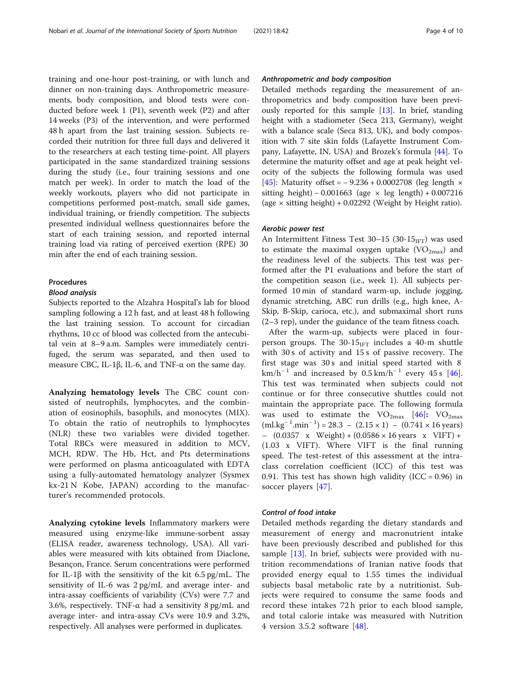training and one-hour post-training, or with lunch and dinner on non-training days. Anthropometric measurements, body composition, and blood tests were conducted before week 1 (P1), seventh week (P2) and after 14 weeks (P3) of the intervention, and were performed 48 h apart from the last training session. Subjects recorded their nutrition for three full days and delivered it to the researchers at each testing time-point. All players participated in the same standardized training sessions during the study (i.e., four training sessions and one match per week). In order to match the load of the weekly workouts, players who did not participate in competitions performed post-match, small side games, individual training, or friendly competition. The subjects presented individual wellness questionnaires before the start of each training session, and reported internal training load via rating of perceived exertion (RPE) 30 min after the end of each training session.

### Procedures

#### Blood analysis

Subjects reported to the Alzahra Hospital's lab for blood sampling following a 12 h fast, and at least 48 h following the last training session. To account for circadian rhythms, 10 cc of blood was collected from the antecubital vein at 8–9 a.m. Samples were immediately centrifuged, the serum was separated, and then used to measure CBC, IL-1β, IL-6, and TNF-α on the same day.

Analyzing hematology levels The CBC count consisted of neutrophils, lymphocytes, and the combination of eosinophils, basophils, and monocytes (MIX). To obtain the ratio of neutrophils to lymphocytes (NLR) these two variables were divided together. Total RBCs were measured in addition to MCV, MCH, RDW. The Hb, Hct, and Pts determinations were performed on plasma anticoagulated with EDTA using a fully-automated hematology analyzer (Sysmex kx-21 N Kobe, JAPAN) according to the manufacturer's recommended protocols.

Analyzing cytokine levels Inflammatory markers were measured using enzyme-like immune-sorbent assay (ELISA reader, awareness technology, USA). All variables were measured with kits obtained from Diaclone, Besançon, France. Serum concentrations were performed for IL-1β with the sensitivity of the kit 6.5 pg/mL. The sensitivity of IL-6 was 2 pg/mL and average inter- and intra-assay coefficients of variability (CVs) were 7.7 and 3.6%, respectively. TNF-α had a sensitivity 8 pg/mL and average inter- and intra-assay CVs were 10.9 and 3.2%, respectively. All analyses were performed in duplicates.

# Anthropometric and body composition

Detailed methods regarding the measurement of anthropometrics and body composition have been previously reported for this sample  $[13]$ . In brief, standing height with a stadiometer (Seca 213, Germany), weight with a balance scale (Seca 813, UK), and body composition with 7 site skin folds (Lafayette Instrument Company, Lafayette, IN, USA) and Brozek's formula [\[44](#page-9-0)]. To determine the maturity offset and age at peak height velocity of the subjects the following formula was used [[45\]](#page-9-0): Maturity offset = −9.236 + 0.0002708 (leg length × sitting height) – 0.001663 (age  $\times$  leg length) + 0.007216 (age  $\times$  sitting height) + 0.02292 (Weight by Height ratio).

## Aerobic power test

An Intermittent Fitness Test 30-15 (30-15 $_{\text{IFT}}$ ) was used to estimate the maximal oxygen uptake  $(VO_{2max})$  and the readiness level of the subjects. This test was performed after the P1 evaluations and before the start of the competition season (i.e., week 1). All subjects performed 10 min of standard warm-up, include jogging, dynamic stretching, ABC run drills (e.g., high knee, A-Skip, B-Skip, carioca, etc.), and submaximal short runs (2–3 rep), under the guidance of the team fitness coach.

After the warm-up, subjects were placed in fourperson groups. The  $30-15<sub>IFT</sub>$  includes a 40-m shuttle with 30 s of activity and 15 s of passive recovery. The first stage was 30 s and initial speed started with 8 km/h<sup>-1</sup> and increased by  $0.5 \text{ km/h}^{-1}$  every 45 s [\[46](#page-9-0)]. This test was terminated when subjects could not continue or for three consecutive shuttles could not maintain the appropriate pace. The following formula was used to estimate the  $VO_{2max}$  [[46](#page-9-0)]:  $VO_{2max}$  $(ml.kg^{-1}.min^{-1}) = 28.3 - (2.15 \times 1) - (0.741 \times 16 \text{ years})$  $-$  (0.0357 x Weight) + (0.0586 × 16 years x VIFT) + (1.03 x VIFT). Where VIFT is the final running speed. The test-retest of this assessment at the intraclass correlation coefficient (ICC) of this test was 0.91. This test has shown high validity (ICC =  $0.96$ ) in soccer players [\[47](#page-9-0)].

# Control of food intake

Detailed methods regarding the dietary standards and measurement of energy and macronutrient intake have been previously described and published for this sample [\[13](#page-8-0)]. In brief, subjects were provided with nutrition recommendations of Iranian native foods that provided energy equal to 1.55 times the individual subjects basal metabolic rate by a nutritionist. Subjects were required to consume the same foods and record these intakes 72 h prior to each blood sample, and total calorie intake was measured with Nutrition 4 version 3.5.2 software [\[48](#page-9-0)].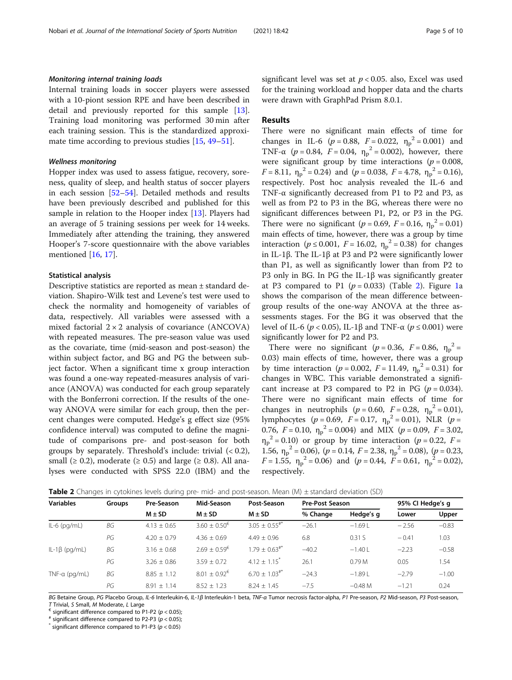Internal training loads in soccer players were assessed with a 10-piont session RPE and have been described in detail and previously reported for this sample [\[13](#page-8-0)]. Training load monitoring was performed 30 min after each training session. This is the standardized approximate time according to previous studies [[15,](#page-8-0) [49](#page-9-0)–[51](#page-9-0)].

### Wellness monitoring

Hopper index was used to assess fatigue, recovery, soreness, quality of sleep, and health status of soccer players in each session [[52](#page-9-0)–[54](#page-9-0)]. Detailed methods and results have been previously described and published for this sample in relation to the Hooper index [\[13](#page-8-0)]. Players had an average of 5 training sessions per week for 14 weeks. Immediately after attending the training, they answered Hooper's 7-score questionnaire with the above variables mentioned [[16,](#page-8-0) [17](#page-8-0)].

### Statistical analysis

Descriptive statistics are reported as mean ± standard deviation. Shapiro-Wilk test and Levene's test were used to check the normality and homogeneity of variables of data, respectively. All variables were assessed with a mixed factorial  $2 \times 2$  analysis of covariance (ANCOVA) with repeated measures. The pre-season value was used as the covariate, time (mid-season and post-season) the within subject factor, and BG and PG the between subject factor. When a significant time x group interaction was found a one-way repeated-measures analysis of variance (ANOVA) was conducted for each group separately with the Bonferroni correction. If the results of the oneway ANOVA were similar for each group, then the percent changes were computed. Hedge's g effect size (95% confidence interval) was computed to define the magnitude of comparisons pre- and post-season for both groups by separately. Threshold's include: trivial  $(< 0.2)$ , small ( $\geq 0.2$ ), moderate ( $\geq 0.5$ ) and large ( $\geq 0.8$ ). All analyses were conducted with SPSS 22.0 (IBM) and the

significant level was set at  $p < 0.05$ . also, Excel was used for the training workload and hopper data and the charts were drawn with GraphPad Prism 8.0.1.

# Results

There were no significant main effects of time for changes in IL-6 ( $p = 0.88$ ,  $F = 0.022$ ,  $\eta_p^2 = 0.001$ ) and TNF- $\alpha$  ( $p = 0.84$ ,  $F = 0.04$ ,  $\eta_p^2 = 0.002$ ), however, there were significant group by time interactions ( $p = 0.008$ ,  $F = 8.11$ ,  $\eta_p^2 = 0.24$ ) and  $(p = 0.038, F = 4.78, \eta_p^2 = 0.16)$ respectively. Post hoc analysis revealed the IL-6 and TNF-α significantly decreased from P1 to P2 and P3, as well as from P2 to P3 in the BG, whereas there were no significant differences between P1, P2, or P3 in the PG. There were no significant ( $p = 0.69$ ,  $F = 0.16$ ,  $\eta_p^2 = 0.01$ ) main effects of time, however, there was a group by time interaction ( $p \le 0.001$ ,  $F = 16.02$ ,  $\eta_p^2 = 0.38$ ) for changes in IL-1β. The IL-1β at P3 and P2 were significantly lower than P1, as well as significantly lower than from P2 to P3 only in BG. In PG the IL-1β was significantly greater at P3 compared to P[1](#page-5-0)  $(p = 0.033)$  (Table 2). Figure 1a shows the comparison of the mean difference betweengroup results of the one-way ANOVA at the three assessments stages. For the BG it was observed that the level of IL-6 (p < 0.05), IL-1β and TNF-α (p ≤ 0.001) were significantly lower for P2 and P3.

There were no significant ( $p = 0.36$ ,  $F = 0.86$ ,  $\eta_p^2 =$ 0.03) main effects of time, however, there was a group by time interaction ( $p = 0.002$ ,  $F = 11.49$ ,  $\eta_p^2 = 0.31$ ) for changes in WBC. This variable demonstrated a significant increase at P3 compared to P2 in PG ( $p = 0.034$ ). There were no significant main effects of time for changes in neutrophils ( $p = 0.60$ ,  $F = 0.28$ ,  $n_p^2 = 0.01$ ), lymphocytes ( $p = 0.69$ ,  $F = 0.17$ ,  $\eta_p^2 = 0.01$ ), NLR ( $p =$ 0.76,  $F = 0.10$ ,  $\eta_p^2 = 0.004$ ) and MIX ( $p = 0.09$ ,  $F = 3.02$ ,  $\eta_p^2$  = 0.10) or group by time interaction ( $p = 0.22$ , F = 1.56,  $\eta_p^2 = 0.06$ ,  $(p = 0.14, F = 2.38, \eta_p^2 = 0.08)$ ,  $(p = 0.23,$  $F = 1.55$ ,  $\eta_p^2 = 0.06$ ) and  $(p = 0.44, \vec{F} = 0.61, \eta_p^2 = 0.02)$ , respectively.

|  |  | Table 2 Changes in cytokines levels during pre- mid- and post-season. Mean (M) ± standard deviation (SD) |  |
|--|--|----------------------------------------------------------------------------------------------------------|--|
|  |  |                                                                                                          |  |

| <b>Variables</b>    | <b>Groups</b> | Pre-Season    | Mid-Season               | Post-Season                 | <b>Pre-Post Season</b> |           | 95% CI Hedge's g |         |
|---------------------|---------------|---------------|--------------------------|-----------------------------|------------------------|-----------|------------------|---------|
|                     |               | $M \pm SD$    | $M \pm SD$               | $M \pm SD$                  | % Change               | Hedge's g | Lower            | Upper   |
| $IL-6$ (pg/mL)      | ВG            | $4.13 + 0.65$ | $3.60 + 0.50^{\epsilon}$ | $3.05 + 0.55$ <sup>#*</sup> | $-26.1$                | $-1.69L$  | $-2.56$          | $-0.83$ |
|                     | PG            | $4.20 + 0.79$ | $4.36 + 0.69$            | $4.49 + 0.96$               | 6.8                    | 0.31 S    | $-0.41$          | 1.03    |
| $IL-1\beta$ (pg/mL) | ВG            | $3.16 + 0.68$ | $2.69 + 0.59^{\epsilon}$ | $1.79 + 0.63$ <sup>#*</sup> | $-40.2$                | $-1.40L$  | $-2.23$          | $-0.58$ |
|                     | PG            | $3.26 + 0.86$ | $3.59 + 0.72$            | $4.12 + 1.15$               | 26.1                   | 0.79M     | 0.05             | 1.54    |
| $TNF-a$ (pg/mL)     | ВG            | $8.85 + 1.12$ | $8.01 + 0.92^{\epsilon}$ | $6.70 + 1.03$ <sup>#*</sup> | $-24.3$                | $-1.89L$  | $-2.79$          | $-1.00$ |
|                     | PG            | $8.91 + 1.14$ | $8.52 + 1.23$            | $8.24 + 1.45$               | $-7.5$                 | $-0.48M$  | $-1.21$          | 0.24    |

BG Betaine Group, PG Placebo Group, IL-6 Interleukin-6, IL-1β Interleukin-1 beta, TNF-α Tumor necrosis factor-alpha, P1 Pre-season, P2 Mid-season, P3 Post-season, T Trivial, S Small, M Moderate, L Large<br>  $\epsilon$  significant difference compared to P1-P2 (p < 0.05);<br>  $*$  significant difference compared to P1-P3 (p < 0.05)<br>  $*$  significant difference compared to P1-P3 (p < 0.05)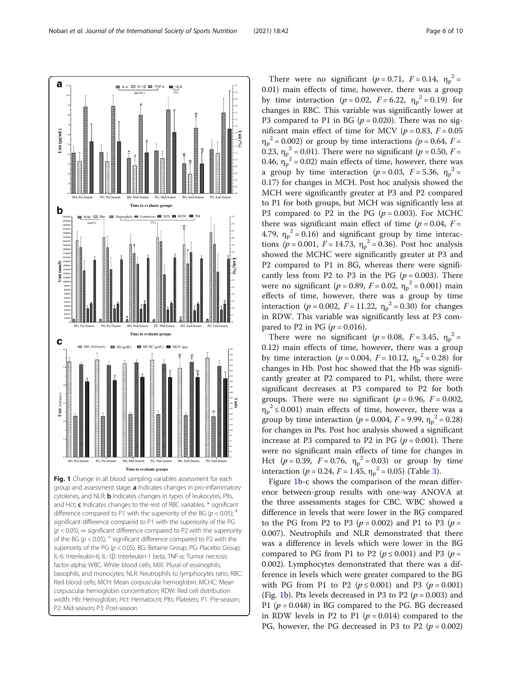Fig. 1 Change in all blood sampling variables assessment for each group and assessment stage. a Indicates changes in pro-inflammatory and Hct; c Indicates changes to the rest of RBC variables. \* significant difference compared to P1 with the superiority of the BG ( $p < 0.05$ );  $\frac{1}{2}$ significant difference compared to P1 with the superiority of the PG  $(p < 0.05)$ ;  $\infty$  significant difference compared to P2 with the superiority of the BG ( $p < 0.05$ );  $\alpha$  significant difference compared to P2 with the superiority of the PG (p < 0.05). BG: Betaine Group; PG: Placebo Group; basophils, and monocytes; NLR: Neutrophils to lymphocytes ratio; RBC: Red blood cells; MCH: Mean corpuscular hemoglobin; MCHC: Mean corpuscular hemoglobin concentration; RDW: Red cell distribution width; Hb: Hemoglobin; Hct: Hematocrit; Plts: Platelets; P1: Pre-season; P2: Mid-season; P3: Post-season

P3 compared to P1 in BG ( $p = 0.020$ ). There was no significant main effect of time for MCV ( $p = 0.83$ ,  $F = 0.05$  $\eta_p^2$  = 0.002) or group by time interactions ( $p$  = 0.64, F = 0.23,  $\eta_p^2 = 0.01$ ). There were no significant ( $p = 0.50$ ,  $F =$ 0.46,  $\eta_p^2$  = 0.02) main effects of time, however, there was a group by time interaction ( $p = 0.03$ ,  $F = 5.36$ ,  $\eta_p^2 =$ 0.17) for changes in MCH. Post hoc analysis showed the MCH were significantly greater at P3 and P2 compared to P1 for both groups, but MCH was significantly less at P3 compared to P2 in the PG ( $p = 0.003$ ). For MCHC there was significant main effect of time ( $p = 0.04$ ,  $F =$ 4.79,  $\eta_p^2 = 0.16$ ) and significant group by time interactions ( $p = 0.001$ ,  $F = 14.73$ ,  $\eta_p^2 = 0.36$ ). Post hoc analysis showed the MCHC were significantly greater at P3 and P2 compared to P1 in BG, whereas there were significantly less from P2 to P3 in the PG ( $p = 0.003$ ). There were no significant ( $p = 0.89$ ,  $F = 0.02$ ,  $\eta_p^2 = 0.001$ ) main effects of time, however, there was a group by time interaction ( $p = 0.002$ ,  $F = 11.22$ ,  $\eta_p^2 = 0.30$ ) for changes in RDW. This variable was significantly less at P3 compared to P2 in PG ( $p = 0.016$ ).

There were no significant ( $p = 0.71$ ,  $F = 0.14$ ,  $\eta_p^2 =$ 0.01) main effects of time, however, there was a group by time interaction ( $p = 0.02$ ,  $F = 6.22$ ,  $\eta_p^2 = 0.19$ ) for changes in RBC. This variable was significantly lower at

There were no significant ( $p = 0.08$ ,  $F = 3.45$ ,  $\eta_p^2 =$ 0.12) main effects of time, however, there was a group by time interaction ( $p = 0.004$ ,  $F = 10.12$ ,  $\eta_p^2 = 0.28$ ) for changes in Hb. Post hoc showed that the Hb was significantly greater at P2 compared to P1, whilst, there were significant decreases at P3 compared to P2 for both groups. There were no significant ( $p = 0.96$ ,  $F = 0.002$ ,  $\eta_p^2 \le 0.001$ ) main effects of time, however, there was a group by time interaction ( $p = 0.004$ ,  $F = 9.99$ ,  $\eta_p^2 = 0.28$ ) for changes in Pts. Post hoc analysis showed a significant increase at P3 compared to P2 in PG ( $p = 0.001$ ). There were no significant main effects of time for changes in Hct ( $p = 0.39$ ,  $F = 0.76$ ,  $\eta_p^2 = 0.03$ ) or group by time interaction ( $p = 0.24$ ,  $F = 1.45$ ,  $\eta_p^2 = 0.05$ ) (Table [3](#page-6-0)).

Figure 1b-c shows the comparison of the mean difference between-group results with one-way ANOVA at the three assessments stages for CBC. WBC showed a difference in levels that were lower in the BG compared to the PG from P2 to P3 ( $p = 0.002$ ) and P1 to P3 ( $p =$ 0.007). Neutrophils and NLR demonstrated that there was a difference in levels which were lower in the BG compared to PG from P1 to P2 ( $p \le 0.001$ ) and P3 ( $p =$ 0.002). Lymphocytes demonstrated that there was a difference in levels which were greater compared to the BG with PG from P1 to P2 ( $p \le 0.001$ ) and P3 ( $p = 0.001$ ) (Fig. 1b). Pts levels decreased in P3 to P2 ( $p = 0.003$ ) and P1 ( $p = 0.048$ ) in BG compared to the PG. BG decreased in RDW levels in P2 to P1 ( $p = 0.014$ ) compared to the PG, however, the PG decreased in P3 to P2  $(p = 0.002)$ 



 $\lim_{\infty}$ 

 $\tilde{(\gamma_0)}$ iun

 $\overline{33}$  IL-6  $\overline{13}$  IL-1 $\beta$   $\overline{33}$  TNF- $\alpha$ 

Time to evaluate groups

Time to evaluate groups

MIX BEST RDW BEST He

<span id="page-5-0"></span> $\mathbf{a}$ 

Jnit (pg/mL)

b

C

**B**<sub>2</sub> WBC □ Plts

**EE** Neutrophils

 $\boxplus$  Hb (g/dL)

 $\text{PRC}(\text{Mill/mm2})$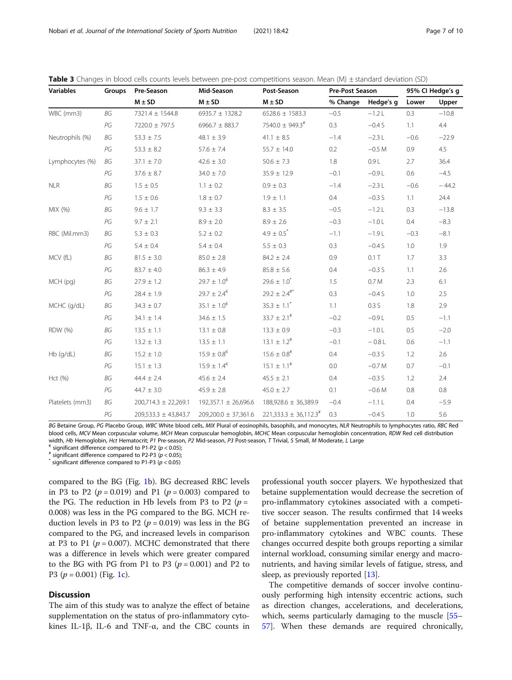| <b>Variables</b><br>Groups |           | Pre-Season               | Mid-Season                |                                       | <b>Pre-Post Season</b> |           | 95% CI Hedge's g |         |
|----------------------------|-----------|--------------------------|---------------------------|---------------------------------------|------------------------|-----------|------------------|---------|
|                            |           | $M \pm SD$               | $M \pm SD$                | $M \pm SD$                            | % Change               | Hedge's g | Lower            | Upper   |
| WBC (mm3)                  | ΒG        | 7321.4 ± 1544.8          | 6935.7 ± 1328.2           | $6528.6 \pm 1583.3$                   | $-0.5$                 | $-1.2 L$  | 0.3              | $-10.8$ |
|                            | PG        | 7220.0 ± 797.5           | $6966.7 \pm 883.7$        | 7540.0 ± 949.3 <sup>#</sup>           | 0.3                    | $-0.4 S$  | 1.1              | 4.4     |
| Neutrophils (%)            | ΒG        | $53.3 \pm 7.5$           | $48.1 \pm 3.9$            | $41.1 \pm 8.5$                        | $-1.4$                 | $-2.3 L$  | $-0.6$           | $-22.9$ |
|                            | PG        | $53.3 \pm 8.2$           | $57.6 \pm 7.4$            | $55.7 \pm 14.0$                       | 0.2                    | $-0.5M$   | 0.9              | 4.5     |
| Lymphocytes (%)            | BG        | $37.1 \pm 7.0$           | $42.6 \pm 3.0$            | $50.6 \pm 7.3$                        | 1.8                    | 0.9L      | 2.7              | 36.4    |
|                            | PG        | $37.6 \pm 8.7$           | $34.0 \pm 7.0$            | $35.9 \pm 12.9$                       | $-0.1$                 | $-0.9L$   | 0.6              | $-4.5$  |
| <b>NLR</b>                 | BG        | $1.5 \pm 0.5$            | $1.1 \pm 0.2$             | $0.9 \pm 0.3$                         | $-1.4$                 | $-2.3 L$  | $-0.6$           | $-44.2$ |
|                            | PG        | $1.5 \pm 0.6$            | $1.8 \pm 0.7$             | $1.9 \pm 1.1$                         | 0.4                    | $-0.3 S$  | 1.1              | 24.4    |
| MIX (%)                    | ΒG        | $9.6 \pm 1.7$            | $9.3 \pm 3.3$             | $8.3 \pm 3.5$                         | $-0.5$                 | $-1.2 L$  | 0.3              | $-13.8$ |
|                            | PG        | $9.7 \pm 2.1$            | $8.9 \pm 2.0$             | $8.9 \pm 2.6$                         | $-0.3$                 | $-1.0 L$  | 0.4              | $-8.3$  |
| RBC (Mil.mm3)              | ΒG        | $5.3 \pm 0.3$            | $5.2 \pm 0.2$             | $4.9 \pm 0.5$ <sup>*</sup>            | $-1.1$                 | $-1.9L$   | $-0.3$           | $-8.1$  |
|                            | PG        | $5.4 \pm 0.4$            | $5.4 \pm 0.4$             | $5.5 \pm 0.3$                         | 0.3                    | $-0.4 S$  | 1.0              | 1.9     |
| MCV (fL)                   | BG        | $81.5 \pm 3.0$           | $85.0 \pm 2.8$            | $84.2 \pm 2.4$                        | 0.9                    | 0.1T      | 1.7              | 3.3     |
|                            | PG        | $83.7 \pm 4.0$           | $86.3 \pm 4.9$            | $85.8\,\pm\,5.6$                      | 0.4                    | $-0.3 S$  | 1.1              | 2.6     |
| MCH (pg)                   | ΒG        | $27.9 \pm 1.2$           | $29.7 \pm 1.0^{\epsilon}$ | $29.6 \pm 1.0^*$                      | 1.5                    | 0.7 M     | 2.3              | 6.1     |
|                            | PG        | $28.4 \pm 1.9$           | $29.7 \pm 2.4^{\epsilon}$ | $29.2 \pm 2.4^{**}$                   | 0.3                    | $-0.4S$   | 1.0              | 2.5     |
| MCHC (g/dL)                | BG        | $34.3 \pm 0.7$           | $35.1 \pm 1.0^6$          | $35.3 \pm 1.1$ <sup>*</sup>           | 1.1                    | 0.3 S     | 1.8              | 2.9     |
|                            | PG        | $34.1 \pm 1.4$           | $34.6 \pm 1.5$            | $33.7 \pm 2.1^{\#}$                   | $-0.2$                 | $-0.9L$   | 0.5              | $-1.1$  |
| <b>RDW</b> (%)             | <b>BG</b> | $13.5 \pm 1.1$           | $13.1 \pm 0.8$            | $13.3 \pm 0.9$                        | $-0.3$                 | $-1.0 L$  | 0.5              | $-2.0$  |
|                            | PG        | $13.2 \pm 1.3$           | $13.5 \pm 1.1$            | $13.1 \pm 1.2^{\#}$                   | $-0.1$                 | $-0.8L$   | 0.6              | $-1.1$  |
| $Hb$ (q/dL)                | ΒG        | $15.2 \pm 1.0$           | $15.9 \pm 0.8^{\epsilon}$ | $15.6 \pm 0.8^{\text{*}}$             | 0.4                    | $-0.3 S$  | 1.2              | 2.6     |
|                            | PG        | $15.1 \pm 1.3$           | $15.9 \pm 1.4^{\epsilon}$ | $15.1 \pm 1.1^{\#}$                   | 0.0                    | $-0.7M$   | 0.7              | $-0.1$  |
| Hct (%)                    | ΒG        | $44.4 \pm 2.4$           | $45.6 \pm 2.4$            | $45.5 \pm 2.1$                        | 0.4                    | $-0.3 S$  | 1.2              | 2.4     |
|                            | PG        | $44.7 \pm 3.0$           | $45.9 \pm 2.8$            | $45.0 \pm 2.7$                        | 0.1                    | $-0.6M$   | 0.8              | 0.8     |
| Platelets (mm3)            | <b>BG</b> | $200,714.3 \pm 22,269.1$ | $192,357.1 \pm 26,696.6$  | 188,928.6 ± 36,389.9                  | $-0.4$                 | $-1.1 L$  | 0.4              | $-5.9$  |
|                            | PG        | $209,533.3 \pm 43,843.7$ | $209,200.0 \pm 37,361.6$  | $221,333.3 \pm 36,112.3$ <sup>#</sup> | 0.3                    | $-0.4S$   | 1.0              | 5.6     |

<span id="page-6-0"></span>

| Table 3 Changes in blood cells counts levels between pre-post competitions season. Mean (M) ± standard deviation (SD) |  |  |
|-----------------------------------------------------------------------------------------------------------------------|--|--|
|                                                                                                                       |  |  |

BG Betaine Group, PG Placebo Group, WBC White blood cells, MIX Plural of eosinophils, basophils, and monocytes, NLR Neutrophils to lymphocytes ratio, RBC Red blood cells, MCV Mean corpuscular volume, MCH Mean corpuscular hemoglobin, MCHC Mean corpuscular hemoglobin concentration, RDW Red cell distribution width, Hb Hemoglobin, Hct Hematocrit; P1 Pre-season, P2 Mid-season, P3 Post-season, T Trivial, S Small, M Moderate, L Large  $\epsilon$  significant difference compared to P1-P2 (p < 0.05);<br>  $*$  significant difference compared to

compared to the BG (Fig. [1](#page-5-0)b). BG decreased RBC levels in P3 to P2 ( $p = 0.019$ ) and P1 ( $p = 0.003$ ) compared to the PG. The reduction in Hb levels from P3 to P2 ( $p =$ 0.008) was less in the PG compared to the BG. MCH reduction levels in P3 to P2 ( $p = 0.019$ ) was less in the BG compared to the PG, and increased levels in comparison at P3 to P1 ( $p = 0.007$ ). MCHC demonstrated that there was a difference in levels which were greater compared to the BG with PG from P1 to P3 ( $p = 0.001$ ) and P2 to P3 ( $p = 0.001$  $p = 0.001$ ) (Fig. 1c).

# **Discussion**

The aim of this study was to analyze the effect of betaine supplementation on the status of pro-inflammatory cytokines IL-1β, IL-6 and TNF-α, and the CBC counts in

professional youth soccer players. We hypothesized that betaine supplementation would decrease the secretion of pro-inflammatory cytokines associated with a competitive soccer season. The results confirmed that 14 weeks of betaine supplementation prevented an increase in pro-inflammatory cytokines and WBC counts. These changes occurred despite both groups reporting a similar internal workload, consuming similar energy and macronutrients, and having similar levels of fatigue, stress, and sleep, as previously reported [[13\]](#page-8-0).

The competitive demands of soccer involve continuously performing high intensity eccentric actions, such as direction changes, accelerations, and decelerations, which, seems particularly damaging to the muscle [[55](#page-9-0)– [57\]](#page-9-0). When these demands are required chronically,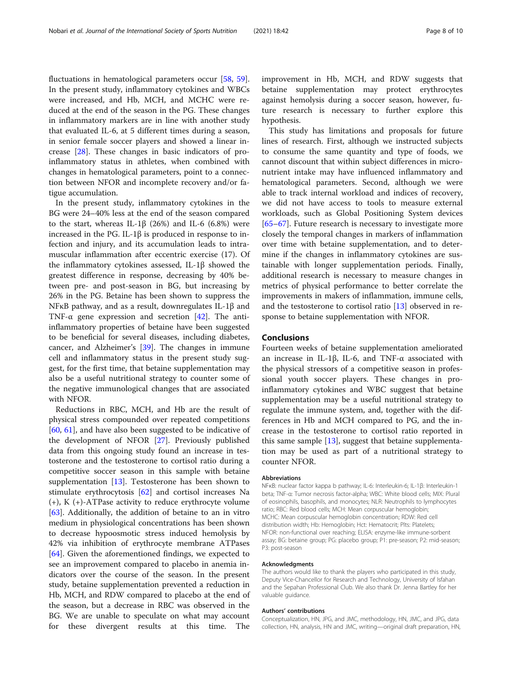fluctuations in hematological parameters occur [[58,](#page-9-0) [59](#page-9-0)]. In the present study, inflammatory cytokines and WBCs were increased, and Hb, MCH, and MCHC were reduced at the end of the season in the PG. These changes in inflammatory markers are in line with another study that evaluated IL-6, at 5 different times during a season, in senior female soccer players and showed a linear increase [[28\]](#page-8-0). These changes in basic indicators of proinflammatory status in athletes, when combined with changes in hematological parameters, point to a connection between NFOR and incomplete recovery and/or fatigue accumulation.

In the present study, inflammatory cytokines in the BG were 24–40% less at the end of the season compared to the start, whereas IL-1β (26%) and IL-6 (6.8%) were increased in the PG. IL-1β is produced in response to infection and injury, and its accumulation leads to intramuscular inflammation after eccentric exercise (17). Of the inflammatory cytokines assessed, IL-1β showed the greatest difference in response, decreasing by 40% between pre- and post-season in BG, but increasing by 26% in the PG. Betaine has been shown to suppress the NFκB pathway, and as a result, downregulates IL-1β and TNF- $\alpha$  gene expression and secretion [\[42\]](#page-9-0). The antiinflammatory properties of betaine have been suggested to be beneficial for several diseases, including diabetes, cancer, and Alzheimer's [[39\]](#page-9-0). The changes in immune cell and inflammatory status in the present study suggest, for the first time, that betaine supplementation may also be a useful nutritional strategy to counter some of the negative immunological changes that are associated with NFOR.

Reductions in RBC, MCH, and Hb are the result of physical stress compounded over repeated competitions [[60,](#page-9-0) [61\]](#page-9-0), and have also been suggested to be indicative of the development of NFOR [[27](#page-8-0)]. Previously published data from this ongoing study found an increase in testosterone and the testosterone to cortisol ratio during a competitive soccer season in this sample with betaine supplementation [[13](#page-8-0)]. Testosterone has been shown to stimulate erythrocytosis [\[62\]](#page-9-0) and cortisol increases Na (+), K (+)-ATPase activity to reduce erythrocyte volume [[63\]](#page-9-0). Additionally, the addition of betaine to an in vitro medium in physiological concentrations has been shown to decrease hypoosmotic stress induced hemolysis by 42% via inhibition of erythrocyte membrane ATPases [[64\]](#page-9-0). Given the aforementioned findings, we expected to see an improvement compared to placebo in anemia indicators over the course of the season. In the present study, betaine supplementation prevented a reduction in Hb, MCH, and RDW compared to placebo at the end of the season, but a decrease in RBC was observed in the BG. We are unable to speculate on what may account for these divergent results at this time. The

improvement in Hb, MCH, and RDW suggests that betaine supplementation may protect erythrocytes against hemolysis during a soccer season, however, future research is necessary to further explore this hypothesis.

This study has limitations and proposals for future lines of research. First, although we instructed subjects to consume the same quantity and type of foods, we cannot discount that within subject differences in micronutrient intake may have influenced inflammatory and hematological parameters. Second, although we were able to track internal workload and indices of recovery, we did not have access to tools to measure external workloads, such as Global Positioning System devices [[65](#page-9-0)–[67](#page-9-0)]. Future research is necessary to investigate more closely the temporal changes in markers of inflammation over time with betaine supplementation, and to determine if the changes in inflammatory cytokines are sustainable with longer supplementation periods. Finally, additional research is necessary to measure changes in metrics of physical performance to better correlate the improvements in makers of inflammation, immune cells, and the testosterone to cortisol ratio [[13\]](#page-8-0) observed in response to betaine supplementation with NFOR.

# Conclusions

Fourteen weeks of betaine supplementation ameliorated an increase in IL-1β, IL-6, and TNF-α associated with the physical stressors of a competitive season in professional youth soccer players. These changes in proinflammatory cytokines and WBC suggest that betaine supplementation may be a useful nutritional strategy to regulate the immune system, and, together with the differences in Hb and MCH compared to PG, and the increase in the testosterone to cortisol ratio reported in this same sample [[13\]](#page-8-0), suggest that betaine supplementation may be used as part of a nutritional strategy to counter NFOR.

#### Abbreviations

NFκB: nuclear factor kappa b pathway; IL-6: Interleukin-6; IL-1β: Interleukin-1 beta; TNF-α: Tumor necrosis factor-alpha; WBC: White blood cells; MIX: Plural of eosinophils, basophils, and monocytes; NLR: Neutrophils to lymphocytes ratio; RBC: Red blood cells; MCH: Mean corpuscular hemoglobin; MCHC: Mean corpuscular hemoglobin concentration; RDW: Red cell distribution width; Hb: Hemoglobin; Hct: Hematocrit; Plts: Platelets; NFOR: non-functional over reaching; ELISA: enzyme-like immune-sorbent assay; BG: betaine group; PG: placebo group; P1: pre-season; P2: mid-season; P3: post-season

#### Acknowledgments

The authors would like to thank the players who participated in this study, Deputy Vice-Chancellor for Research and Technology, University of Isfahan and the Sepahan Professional Club. We also thank Dr. Jenna Bartley for her valuable guidance.

#### Authors' contributions

Conceptualization, HN, JPG, and JMC, methodology, HN, JMC, and JPG, data collection, HN, analysis, HN and JMC, writing—original draft preparation, HN,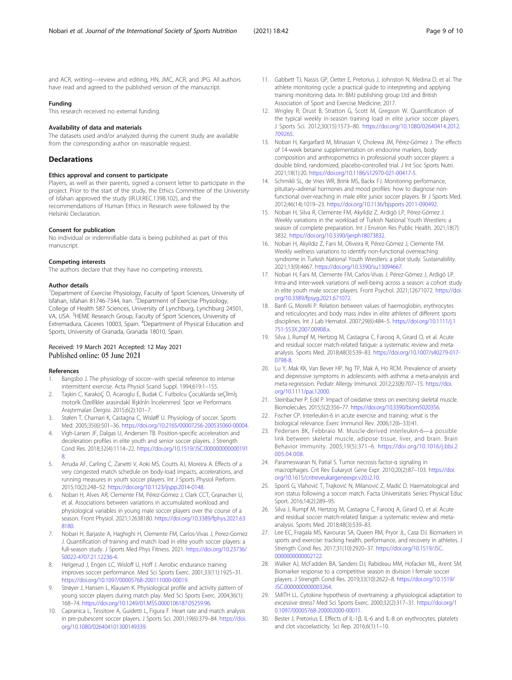<span id="page-8-0"></span>and ACR, writing—review and editing, HN, JMC, ACR, and JPG. All authors have read and agreed to the published version of the manuscript.

#### Funding

This research received no external funding.

#### Availability of data and materials

The datasets used and/or analyzed during the current study are available from the corresponding author on reasonable request.

# **Declarations**

#### Ethics approval and consent to participate

Players, as well as their parents, signed a consent letter to participate in the project. Prior to the start of the study, the Ethics Committee of the University of Isfahan approved the study (IR.UI.REC.1398.102), and the recommendations of Human Ethics in Research were followed by the Helsinki Declaration.

#### Consent for publication

No individual or indemnifiable data is being published as part of this manuscript.

#### Competing interests

The authors declare that they have no competing interests.

#### Author details

<sup>1</sup>Department of Exercise Physiology, Faculty of Sport Sciences, University of Isfahan, Isfahan 81746-7344, Iran. <sup>2</sup>Department of Exercise Physiology, College of Health 587 Sciences, University of Lynchburg, Lynchburg 24501, VA, USA. <sup>3</sup>HEME Research Group, Faculty of Sport Sciences, University of Extremadura, Cáceres 10003, Spain. <sup>4</sup>Department of Physical Education and Sports, University of Granada, Granada 18010, Spain.

#### Received: 19 March 2021 Accepted: 12 May 2021 Published online: 05 June 2021

#### References

- 1. Bangsbo J. The physiology of soccer--with special reference to intense intermittent exercise. Acta Physiol Scand Suppl. 1994;619:1–155.
- 2. Taşkin C, KarakoÇ Ö, Acaroglu E, Budak C. Futbolcu Çocuklarda seÇİlmİş motorİk Özellİkler arasindakİ İlİşkİnİn İncelenmesİ. Spor ve Performans Araştırmaları Dergisi. 2015;6(2):101–7.
- 3. Stølen T, Chamari K, Castagna C, Wisløff U. Physiology of soccer. Sports Med. 2005;35(6):501–36. <https://doi.org/10.2165/00007256-200535060-00004>.
- 4. Vigh-Larsen JF, Dalgas U, Andersen TB. Position-specific acceleration and deceleration profiles in elite youth and senior soccer players. J Strength Cond Res. 2018;32(4):1114–22. [https://doi.org/10.1519/JSC.000000000000191](https://doi.org/10.1519/JSC.0000000000001918) [8](https://doi.org/10.1519/JSC.0000000000001918).
- 5. Arruda AF, Carling C, Zanetti V, Aoki MS, Coutts AJ, Moreira A. Effects of a very congested match schedule on body-load impacts, accelerations, and running measures in youth soccer players. Int J Sports Physiol Perform. 2015;10(2):248–52. [https://doi.org/10.1123/ijspp.2014-0148.](https://doi.org/10.1123/ijspp.2014-0148)
- 6. Nobari H, Alves AR, Clemente FM, Pérez-Gómez J, Clark CCT, Granacher U, et al. Associations between variations in accumulated workload and physiological variables in young male soccer players over the course of a season. Front Physiol. 2021;12638180. [https://doi.org/10.3389/fphys.2021.63](https://doi.org/10.3389/fphys.2021.638180) [8180](https://doi.org/10.3389/fphys.2021.638180).
- 7. Nobari H, Barjaste A, Haghighi H, Clemente FM, Carlos-Vivas J, Perez-Gomez J. Quantification of training and match load in elite youth soccer players: a full-season study. J Sports Med Phys Fitness. 2021. [https://doi.org/10.23736/](https://doi.org/10.23736/S0022-4707.21.12236-4) [S0022-4707.21.12236-4](https://doi.org/10.23736/S0022-4707.21.12236-4).
- 8. Helgerud J, Engen LC, Wisloff U, Hoff J. Aerobic endurance training improves soccer performance. Med Sci Sports Exerc. 2001;33(11):1925–31. <https://doi.org/10.1097/00005768-200111000-00019>.
- 9. Strøyer J, Hansen L, Klausen K. Physiological profile and activity pattern of young soccer players during match play. Med Sci Sports Exerc. 2004;36(1): 168–74. <https://doi.org/10.1249/01.MSS.0000106187.05259.96>.
- 10. Capranica L, Tessitore A, Guidetti L, Figura F. Heart rate and match analysis in pre-pubescent soccer players. J Sports Sci. 2001;19(6):379–84. [https://doi.](https://doi.org/10.1080/026404101300149339) [org/10.1080/026404101300149339](https://doi.org/10.1080/026404101300149339).
- 11. Gabbett TJ, Nassis GP, Oetter E, Pretorius J, Johnston N, Medina D, et al. The athlete monitoring cycle: a practical guide to interpreting and applying training monitoring data. In: BMJ publishing group Ltd and British Association of Sport and Exercise Medicine; 2017.
- 12. Wrigley R, Drust B, Stratton G, Scott M, Gregson W. Quantification of the typical weekly in-season training load in elite junior soccer players. J Sports Sci. 2012;30(15):1573–80. [https://doi.org/10.1080/02640414.2012.](https://doi.org/10.1080/02640414.2012.709265) [709265.](https://doi.org/10.1080/02640414.2012.709265)
- 13. Nobari H, Kargarfard M, Minasian V, Cholewa JM, Pérez-Gómez J. The effects of 14-week betaine supplementation on endocrine markers, body composition and anthropometrics in professional youth soccer players: a double blind, randomized, placebo-controlled trial. J Int Soc Sports Nutri. 2021;18(1):20. [https://doi.org/10.1186/s12970-021-00417-5.](https://doi.org/10.1186/s12970-021-00417-5)
- 14. Schmikli SL, de Vries WR, Brink MS, Backx FJ. Monitoring performance, pituitary–adrenal hormones and mood profiles: how to diagnose nonfunctional over-reaching in male elite junior soccer players. Br J Sports Med. 2012;46(14):1019–23. <https://doi.org/10.1136/bjsports-2011-090492>.
- 15. Nobari H, Silva R, Clemente FM, Akyildiz Z, Ardigò LP, Pérez-Gómez J. Weekly variations in the workload of Turkish National Youth Wrestlers: a season of complete preparation. Int J Environ Res Public Health. 2021;18(7): 3832. <https://doi.org/10.3390/ijerph18073832>.
- 16. Nobari H, Akyildiz Z, Fani M, Oliveira R, Pérez-Gómez J, Clemente FM. Weekly wellness variations to identify non-functional overreaching syndrome in Turkish National Youth Wrestlers: a pilot study. Sustainability. 2021;13(9):4667. <https://doi.org/10.3390/su13094667>.
- 17. Nobari H, Fani M, Clemente FM, Carlos-Vivas J, Pérez-Gómez J, Ardigò LP. Intra-and inter-week variations of well-being across a season: a cohort study in elite youth male soccer players. Front Psychol. 2021;12671072. [https://doi.](https://doi.org/10.3389/fpsyg.2021.671072) [org/10.3389/fpsyg.2021.671072.](https://doi.org/10.3389/fpsyg.2021.671072)
- 18. Banfi G, Morelli P. Relation between values of haemoglobin, erythrocytes and reticulocytes and body mass index in elite athletes of different sports disciplines. Int J Lab Hematol. 2007;29(6):484–5. [https://doi.org/10.1111/j.1](https://doi.org/10.1111/j.1751-553X.2007.00908.x) [751-553X.2007.00908.x](https://doi.org/10.1111/j.1751-553X.2007.00908.x).
- 19. Silva J, Rumpf M, Hertzog M, Castagna C, Farooq A, Girard O, et al. Acute and residual soccer match-related fatigue: a systematic review and metaanalysis. Sports Med. 2018;48(3):539–83. [https://doi.org/10.1007/s40279-017-](https://doi.org/10.1007/s40279-017-0798-8) [0798-8.](https://doi.org/10.1007/s40279-017-0798-8)
- 20. Lu Y, Mak KK, Van Bever HP, Ng TP, Mak A, Ho RCM. Prevalence of anxiety and depressive symptoms in adolescents with asthma: a meta-analysis and meta-regression. Pediatr Allergy Immunol. 2012;23(8):707–15. [https://doi.](https://doi.org/10.1111/pai.12000) [org/10.1111/pai.12000.](https://doi.org/10.1111/pai.12000)
- 21. Steinbacher P, Eckl P. Impact of oxidative stress on exercising skeletal muscle. Biomolecules. 2015;5(2):356–77. [https://doi.org/10.3390/biom5020356.](https://doi.org/10.3390/biom5020356)
- 22. Fischer CP. Interleukin-6 in acute exercise and training: what is the biological relevance. Exerc Immunol Rev. 2006;12(6–33):41.
- 23. Pedersen BK, Febbraio M. Muscle-derived interleukin-6—a possible link between skeletal muscle, adipose tissue, liver, and brain. Brain Behavior Immunity. 2005;19(5):371–6. [https://doi.org/10.1016/j.bbi.2](https://doi.org/10.1016/j.bbi.2005.04.008) [005.04.008](https://doi.org/10.1016/j.bbi.2005.04.008).
- 24. Parameswaran N, Patial S. Tumor necrosis factor-α signaling in macrophages. Crit Rev Eukaryot Gene Expr. 2010;20(2):87–103. [https://doi.](https://doi.org/10.1615/critreveukargeneexpr.v20.i2.10) [org/10.1615/critreveukargeneexpr.v20.i2.10](https://doi.org/10.1615/critreveukargeneexpr.v20.i2.10).
- 25. Sporiš G, Vlahović T, Trajković N, Milanović Z, Madić D. Haematological and iron status following a soccer match. Facta Universitatis Series: Physical Educ Sport. 2016;14(2):289–95.
- 26. Silva J, Rumpf M, Hertzog M, Castagna C, Farooq A, Girard O, et al. Acute and residual soccer match-related fatigue: a systematic review and metaanalysis. Sports Med. 2018;48(3):539–83.
- 27. Lee EC, Fragala MS, Kavouras SA, Queen RM, Pryor JL, Casa DJ. Biomarkers in sports and exercise: tracking health, performance, and recovery in athletes. J Strength Cond Res. 2017;31(10):2920–37. [https://doi.org/10.1519/JSC.](https://doi.org/10.1519/JSC.0000000000002122) [0000000000002122](https://doi.org/10.1519/JSC.0000000000002122).
- 28. Walker AJ, McFadden BA, Sanders DJ, Rabideau MM, Hofacker ML, Arent SM. Biomarker response to a competitive season in division I female soccer players. J Strength Cond Res. 2019;33(10):2622–8. [https://doi.org/10.1519/](https://doi.org/10.1519/JSC.0000000000003264) [JSC.0000000000003264](https://doi.org/10.1519/JSC.0000000000003264).
- 29. SMITH LL. Cytokine hypothesis of overtraining: a physiological adaptation to excessive stress? Med Sci Sports Exerc. 2000;32(2):317–31. [https://doi.org/1](https://doi.org/10.1097/00005768-200002000-00011) [0.1097/00005768-200002000-00011.](https://doi.org/10.1097/00005768-200002000-00011)
- 30. Bester J, Pretorius E. Effects of IL-1β, IL-6 and IL-8 on erythrocytes, platelets and clot viscoelasticity. Sci Rep. 2016;6(1):1–10.